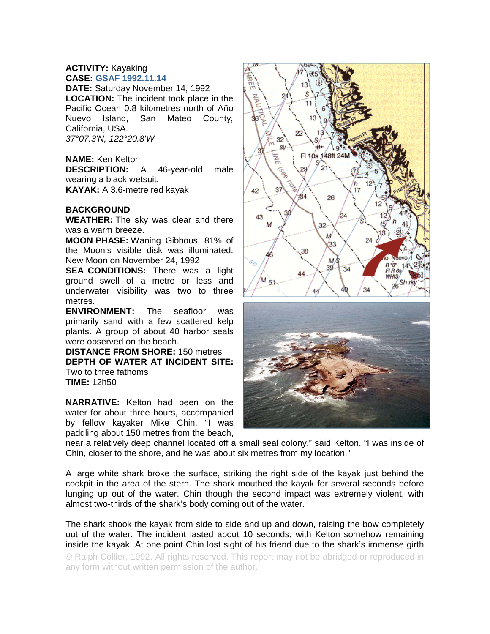# **ACTIVITY:** Kayaking **CASE: GSAF 1992.11.14**

**DATE:** Saturday November 14, 1992 **LOCATION:** The incident took place in the Pacific Ocean 0.8 kilometres north of Año Nuevo Island, San Mateo County, California, USA. *37°07.3'N, 122°20.8'W*

## **NAME:** Ken Kelton

**DESCRIPTION:** A 46-year-old male wearing a black wetsuit. **KAYAK:** A 3.6-metre red kayak

## **BACKGROUND**

**WEATHER:** The sky was clear and there was a warm breeze.

**MOON PHASE:** Waning Gibbous, 81% of the Moon's visible disk was illuminated. New Moon on November 24, 1992

**SEA CONDITIONS:** There was a light ground swell of a metre or less and underwater visibility was two to three metres.

**ENVIRONMENT:** The seafloor was primarily sand with a few scattered kelp plants. A group of about 40 harbor seals were observed on the beach.

**DISTANCE FROM SHORE:** 150 metres **DEPTH OF WATER AT INCIDENT SITE:** Two to three fathoms **TIME:** 12h50

**NARRATIVE:** Kelton had been on the water for about three hours, accompanied by fellow kayaker Mike Chin. "I was paddling about 150 metres from the beach,





near a relatively deep channel located off a small seal colony," said Kelton. "I was inside of Chin, closer to the shore, and he was about six metres from my location."

A large white shark broke the surface, striking the right side of the kayak just behind the cockpit in the area of the stern. The shark mouthed the kayak for several seconds before lunging up out of the water. Chin though the second impact was extremely violent, with almost two-thirds of the shark's body coming out of the water.

The shark shook the kayak from side to side and up and down, raising the bow completely out of the water. The incident lasted about 10 seconds, with Kelton somehow remaining inside the kayak. At one point Chin lost sight of his friend due to the shark's immense girth

© Ralph Collier, 1992. All rights reserved. This report may not be abridged or reproduced in any form without written permission of the author.